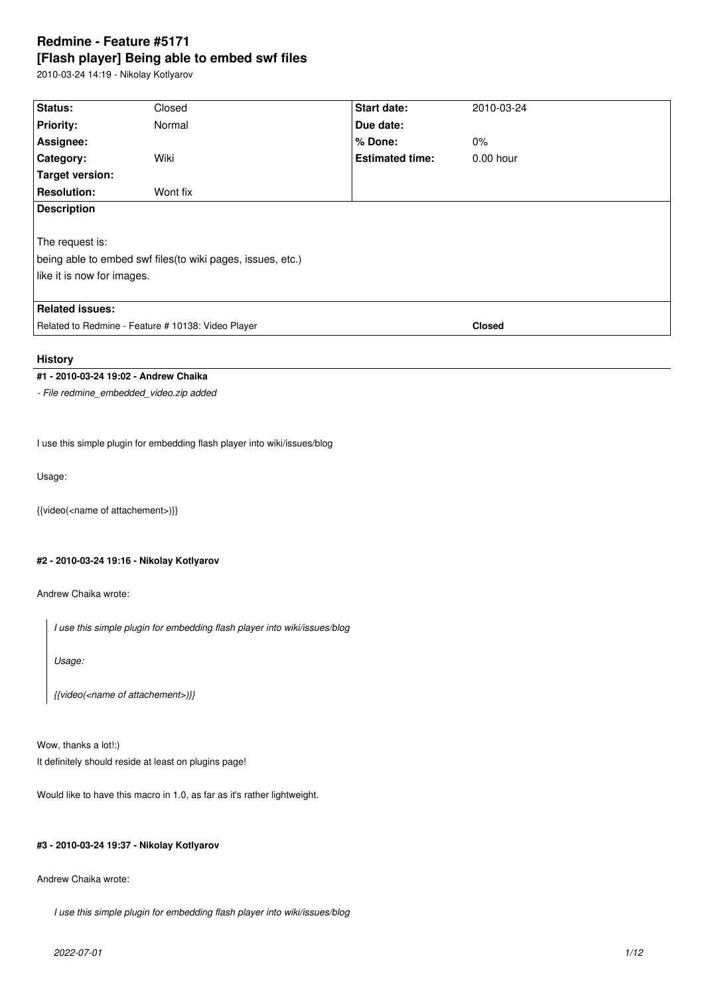# **Redmine - Feature #5171 [Flash player] Being able to embed swf files**

2010-03-24 14:19 - Nikolay Kotlyarov

| Status:                                                     | Closed   | <b>Start date:</b>     | 2010-03-24    |  |  |
|-------------------------------------------------------------|----------|------------------------|---------------|--|--|
| <b>Priority:</b>                                            | Normal   | Due date:              |               |  |  |
| Assignee:                                                   |          | % Done:                | $0\%$         |  |  |
| Category:                                                   | Wiki     | <b>Estimated time:</b> | $0.00$ hour   |  |  |
| Target version:                                             |          |                        |               |  |  |
| <b>Resolution:</b>                                          | Wont fix |                        |               |  |  |
| <b>Description</b>                                          |          |                        |               |  |  |
|                                                             |          |                        |               |  |  |
| The request is:                                             |          |                        |               |  |  |
| being able to embed swf files (to wiki pages, issues, etc.) |          |                        |               |  |  |
| like it is now for images.                                  |          |                        |               |  |  |
|                                                             |          |                        |               |  |  |
| <b>Related issues:</b>                                      |          |                        |               |  |  |
| Related to Redmine - Feature # 10138: Video Player          |          |                        | <b>Closed</b> |  |  |
|                                                             |          |                        |               |  |  |

# **History**

# **#1 - 2010-03-24 19:02 - Andrew Chaika**

*- File redmine\_embedded\_video.zip added*

I use this simple plugin for embedding flash player into wiki/issues/blog

Usage:

{{video(<name of attachement>)}}

# **#2 - 2010-03-24 19:16 - Nikolay Kotlyarov**

Andrew Chaika wrote:

*I use this simple plugin for embedding flash player into wiki/issues/blog*

*Usage:*

*{{video(<name of attachement>)}}*

Wow, thanks a lot!:) It definitely should reside at least on plugins page!

Would like to have this macro in 1.0, as far as it's rather lightweight.

# **#3 - 2010-03-24 19:37 - Nikolay Kotlyarov**

Andrew Chaika wrote:

*I use this simple plugin for embedding flash player into wiki/issues/blog*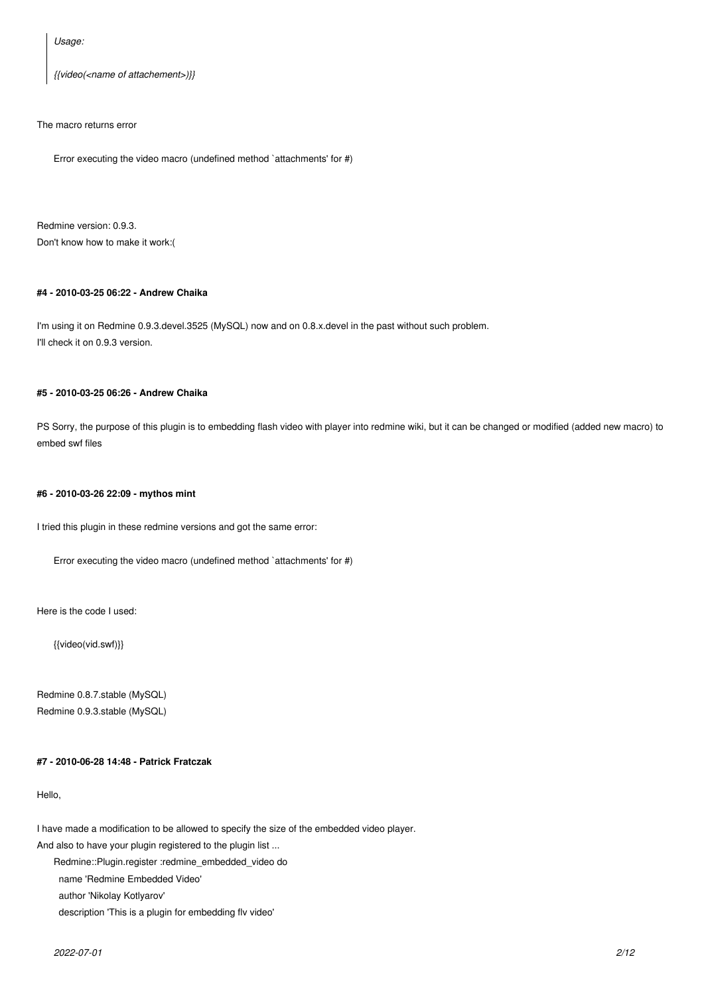*Usage:*

*{{video(<name of attachement>)}}*

# The macro returns error

Error executing the video macro (undefined method `attachments' for #)

Redmine version: 0.9.3. Don't know how to make it work:(

# **#4 - 2010-03-25 06:22 - Andrew Chaika**

I'm using it on Redmine 0.9.3.devel.3525 (MySQL) now and on 0.8.x.devel in the past without such problem. I'll check it on 0.9.3 version.

# **#5 - 2010-03-25 06:26 - Andrew Chaika**

PS Sorry, the purpose of this plugin is to embedding flash video with player into redmine wiki, but it can be changed or modified (added new macro) to embed swf files

#### **#6 - 2010-03-26 22:09 - mythos mint**

I tried this plugin in these redmine versions and got the same error:

Error executing the video macro (undefined method `attachments' for #)

Here is the code I used:

{{video(vid.swf)}}

Redmine 0.8.7.stable (MySQL) Redmine 0.9.3.stable (MySQL)

# **#7 - 2010-06-28 14:48 - Patrick Fratczak**

Hello,

I have made a modification to be allowed to specify the size of the embedded video player.

And also to have your plugin registered to the plugin list ...

Redmine::Plugin.register :redmine\_embedded\_video do

name 'Redmine Embedded Video'

author 'Nikolay Kotlyarov'

description 'This is a plugin for embedding flv video'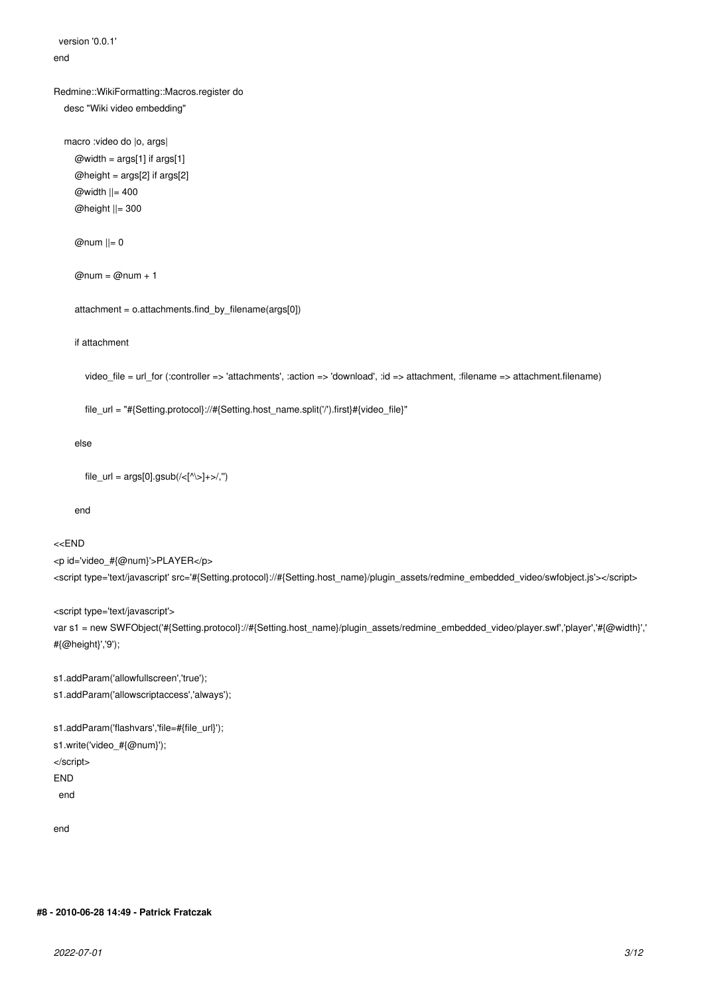version '0.0.1'

# end

# Redmine::WikiFormatting::Macros.register do

desc "Wiki video embedding"

```
 macro :video do |o, args|
  @width = args[1] if args[1]
  @height = args[2] if args[2]
   @width ||= 400
   @height ||= 300
```
 $@num$   $||= 0$ 

```
@num = @num + 1
```
attachment = o.attachments.find\_by\_filename(args[0])

# if attachment

video\_file = url\_for (:controller => 'attachments', :action => 'download', :id => attachment, :filename => attachment.filename)

file\_url = "#{Setting.protocol}://#{Setting.host\_name.split('/').first}#{video\_file}"

# else

```
file_url = args[0].gsub/(<[^{^{\wedge}\backslash >}]+>^{\wedge},\mathcal{C})
```
end

# <<END

<p id='video\_#{@num}'>PLAYER</p> <script type='text/javascript' src='#{Setting.protocol}://#{Setting.host\_name}/plugin\_assets/redmine\_embedded\_video/swfobject.js'></script>

# <script type='text/javascript'>

var s1 = new SWFObject('#{Setting.protocol}://#{Setting.host\_name}/plugin\_assets/redmine\_embedded\_video/player.swf','player','#{@width}',' #{@height}','9');

s1.addParam('allowfullscreen','true');

s1.addParam('allowscriptaccess','always');

```
s1.addParam('flashvars','file=#{file_url}');
s1.write('video_#{@num}');
</script>
END
  end
```
end

# **#8 - 2010-06-28 14:49 - Patrick Fratczak**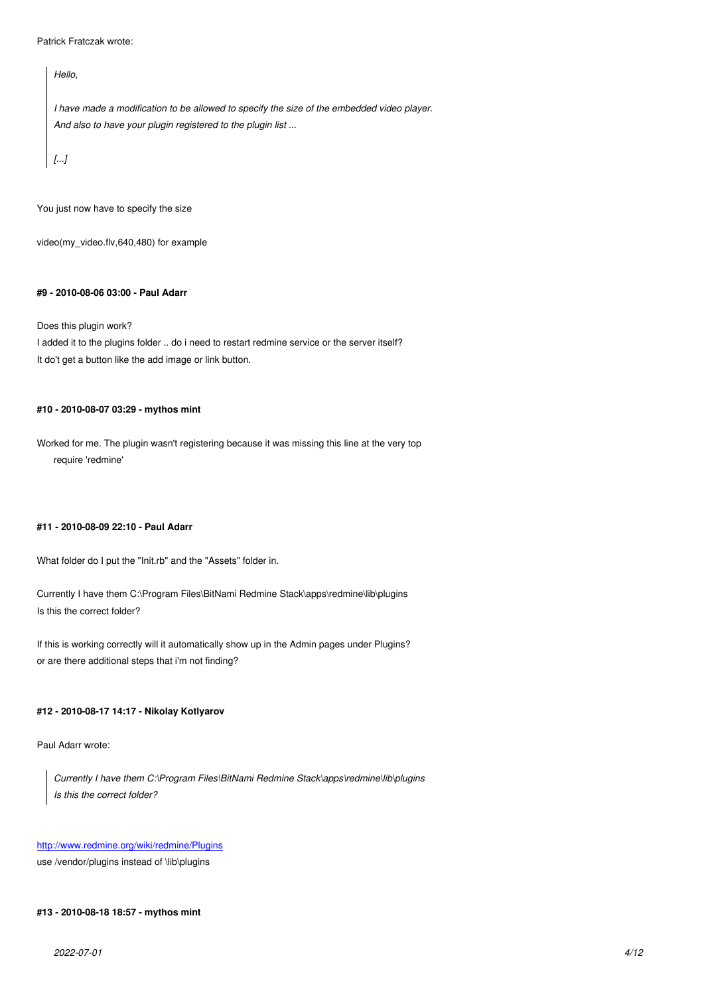*Hello,*

*I have made a modification to be allowed to specify the size of the embedded video player. And also to have your plugin registered to the plugin list ...*

*[...]*

You just now have to specify the size

video(my\_video.flv,640,480) for example

## **#9 - 2010-08-06 03:00 - Paul Adarr**

Does this plugin work?

I added it to the plugins folder .. do i need to restart redmine service or the server itself? It do't get a button like the add image or link button.

# **#10 - 2010-08-07 03:29 - mythos mint**

Worked for me. The plugin wasn't registering because it was missing this line at the very top require 'redmine'

# **#11 - 2010-08-09 22:10 - Paul Adarr**

What folder do I put the "Init.rb" and the "Assets" folder in.

Currently I have them C:\Program Files\BitNami Redmine Stack\apps\redmine\lib\plugins Is this the correct folder?

If this is working correctly will it automatically show up in the Admin pages under Plugins? or are there additional steps that i'm not finding?

# **#12 - 2010-08-17 14:17 - Nikolay Kotlyarov**

Paul Adarr wrote:

*Currently I have them C:\Program Files\BitNami Redmine Stack\apps\redmine\lib\plugins Is this the correct folder?*

# http://www.redmine.org/wiki/redmine/Plugins

use /vendor/plugins instead of \lib\plugins

#### **[#13 - 2010-08-18 18:57 - mythos mint](http://www.redmine.org/wiki/redmine/Plugins)**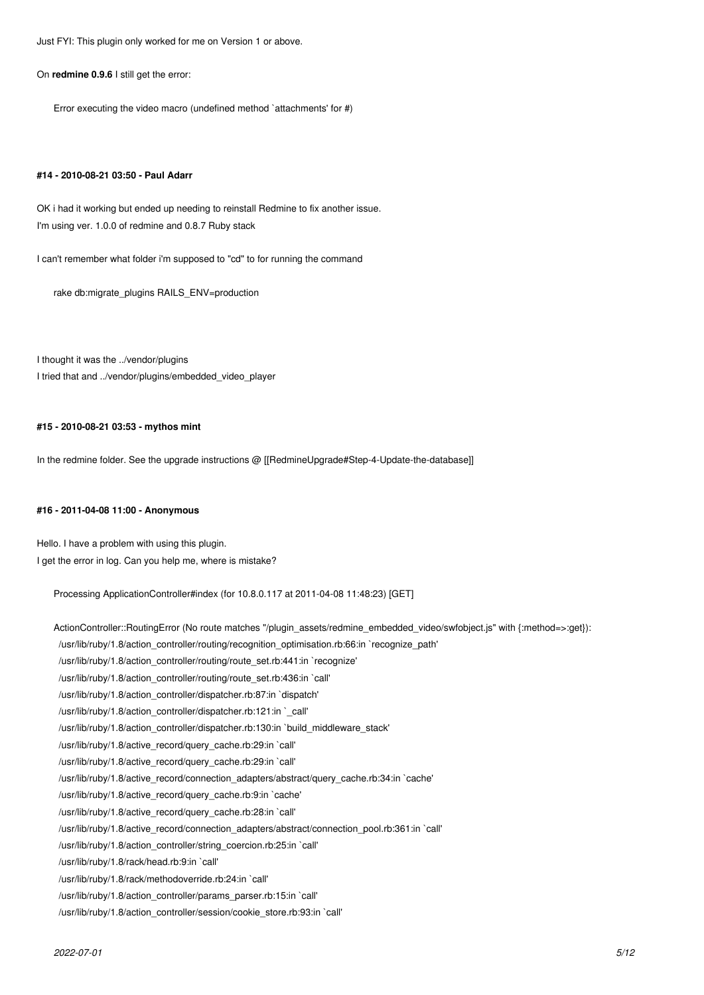Just FYI: This plugin only worked for me on Version 1 or above.

#### On **redmine 0.9.6** I still get the error:

Error executing the video macro (undefined method `attachments' for #)

#### **#14 - 2010-08-21 03:50 - Paul Adarr**

OK i had it working but ended up needing to reinstall Redmine to fix another issue. I'm using ver. 1.0.0 of redmine and 0.8.7 Ruby stack

I can't remember what folder i'm supposed to "cd" to for running the command

rake db:migrate\_plugins RAILS\_ENV=production

I thought it was the ../vendor/plugins I tried that and ../vendor/plugins/embedded\_video\_player

# **#15 - 2010-08-21 03:53 - mythos mint**

In the redmine folder. See the upgrade instructions @ [[RedmineUpgrade#Step-4-Update-the-database]]

## **#16 - 2011-04-08 11:00 - Anonymous**

Hello. I have a problem with using this plugin. I get the error in log. Can you help me, where is mistake?

Processing ApplicationController#index (for 10.8.0.117 at 2011-04-08 11:48:23) [GET]

ActionController::RoutingError (No route matches "/plugin\_assets/redmine\_embedded\_video/swfobject.js" with {:method=>:get}): /usr/lib/ruby/1.8/action\_controller/routing/recognition\_optimisation.rb:66:in `recognize\_path' /usr/lib/ruby/1.8/action\_controller/routing/route\_set.rb:441:in `recognize' /usr/lib/ruby/1.8/action\_controller/routing/route\_set.rb:436:in `call' /usr/lib/ruby/1.8/action\_controller/dispatcher.rb:87:in `dispatch' /usr/lib/ruby/1.8/action\_controller/dispatcher.rb:121:in `\_call' /usr/lib/ruby/1.8/action\_controller/dispatcher.rb:130:in `build\_middleware\_stack' /usr/lib/ruby/1.8/active\_record/query\_cache.rb:29:in `call' /usr/lib/ruby/1.8/active\_record/query\_cache.rb:29:in `call' /usr/lib/ruby/1.8/active\_record/connection\_adapters/abstract/query\_cache.rb:34:in `cache' /usr/lib/ruby/1.8/active\_record/query\_cache.rb:9:in `cache' /usr/lib/ruby/1.8/active\_record/query\_cache.rb:28:in `call' /usr/lib/ruby/1.8/active\_record/connection\_adapters/abstract/connection\_pool.rb:361:in `call' /usr/lib/ruby/1.8/action\_controller/string\_coercion.rb:25:in `call' /usr/lib/ruby/1.8/rack/head.rb:9:in `call' /usr/lib/ruby/1.8/rack/methodoverride.rb:24:in `call' /usr/lib/ruby/1.8/action\_controller/params\_parser.rb:15:in `call'

/usr/lib/ruby/1.8/action\_controller/session/cookie\_store.rb:93:in `call'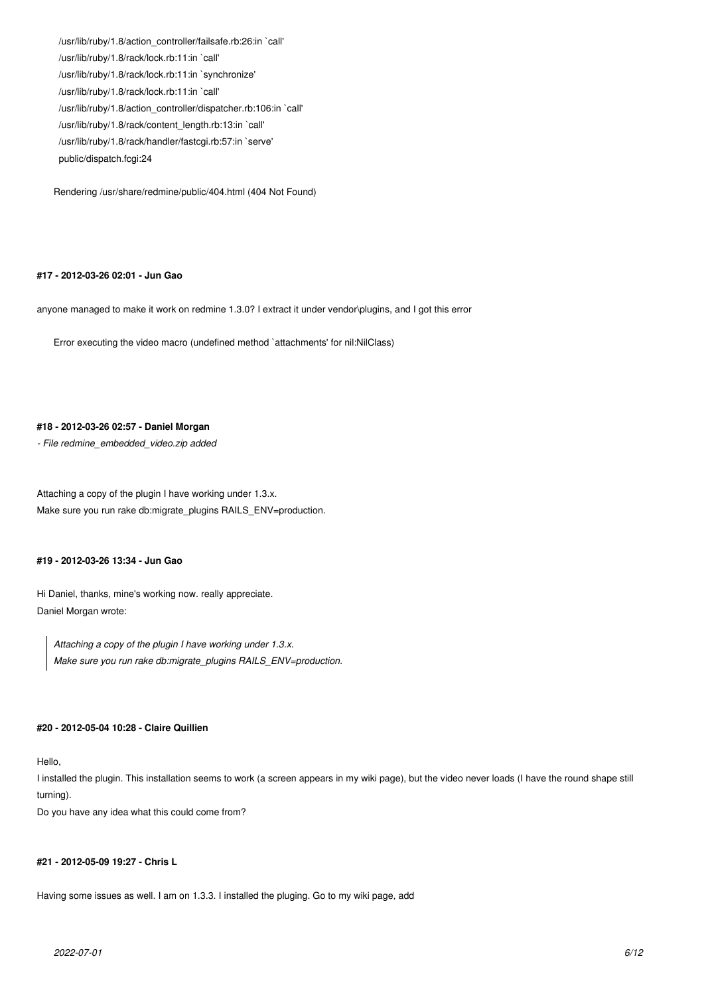/usr/lib/ruby/1.8/action\_controller/failsafe.rb:26:in `call' /usr/lib/ruby/1.8/rack/lock.rb:11:in `call' /usr/lib/ruby/1.8/rack/lock.rb:11:in `synchronize' /usr/lib/ruby/1.8/rack/lock.rb:11:in `call' /usr/lib/ruby/1.8/action\_controller/dispatcher.rb:106:in `call' /usr/lib/ruby/1.8/rack/content\_length.rb:13:in `call' /usr/lib/ruby/1.8/rack/handler/fastcgi.rb:57:in `serve' public/dispatch.fcgi:24

Rendering /usr/share/redmine/public/404.html (404 Not Found)

#### **#17 - 2012-03-26 02:01 - Jun Gao**

anyone managed to make it work on redmine 1.3.0? I extract it under vendor\plugins, and I got this error

Error executing the video macro (undefined method `attachments' for nil:NilClass)

# **#18 - 2012-03-26 02:57 - Daniel Morgan**

*- File redmine\_embedded\_video.zip added*

Attaching a copy of the plugin I have working under 1.3.x. Make sure you run rake db:migrate\_plugins RAILS\_ENV=production.

## **#19 - 2012-03-26 13:34 - Jun Gao**

Hi Daniel, thanks, mine's working now. really appreciate. Daniel Morgan wrote:

*Attaching a copy of the plugin I have working under 1.3.x. Make sure you run rake db:migrate\_plugins RAILS\_ENV=production.*

### **#20 - 2012-05-04 10:28 - Claire Quillien**

Hello,

I installed the plugin. This installation seems to work (a screen appears in my wiki page), but the video never loads (I have the round shape still turning).

Do you have any idea what this could come from?

#### **#21 - 2012-05-09 19:27 - Chris L**

Having some issues as well. I am on 1.3.3. I installed the pluging. Go to my wiki page, add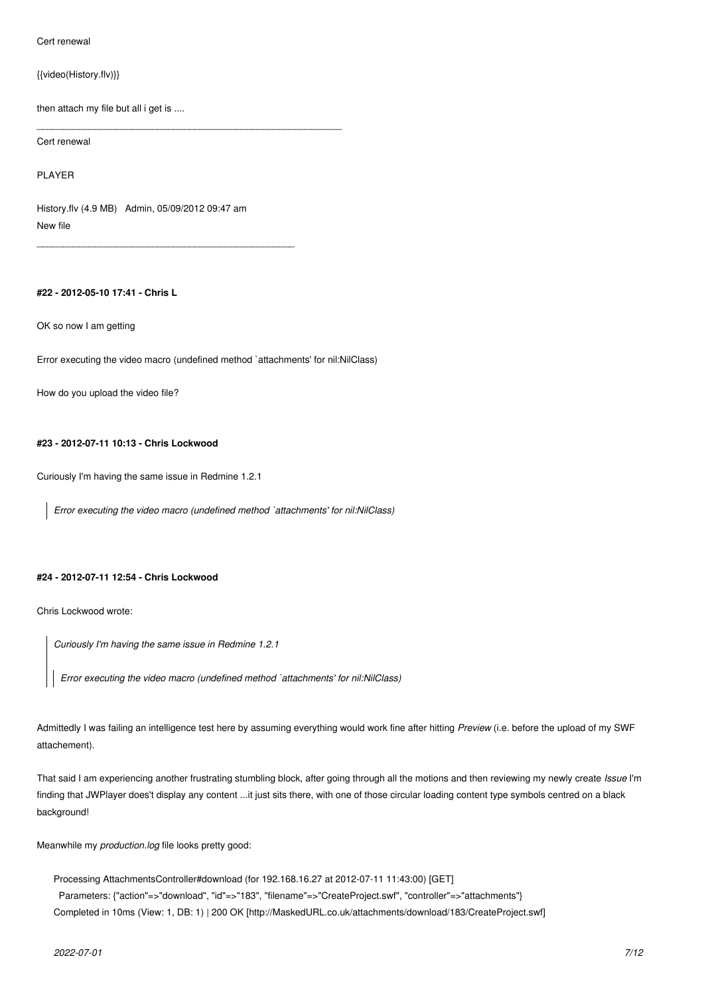Cert renewal

{{video(History.flv)}}

then attach my file but all i get is ....

\_\_\_*\_*\_\_\_\_\_\_\_\_\_\_\_\_\_\_\_\_\_\_\_\_\_\_\_\_\_\_\_\_\_\_\_\_\_\_\_\_\_\_\_\_\_\_\_\_\_\_\_\_\_\_\_\_\_\_

Cert renewal

PLAYER

History.flv (4.9 MB) Admin, 05/09/2012 09:47 am New file

\_\_\_*\_*\_\_\_\_\_\_\_\_\_\_\_\_\_\_\_\_\_\_\_\_\_\_\_\_\_\_\_\_\_\_\_\_\_\_\_\_\_\_\_\_\_\_\_\_\_

# **#22 - 2012-05-10 17:41 - Chris L**

OK so now I am getting

Error executing the video macro (undefined method `attachments' for nil:NilClass)

How do you upload the video file?

### **#23 - 2012-07-11 10:13 - Chris Lockwood**

Curiously I'm having the same issue in Redmine 1.2.1

*Error executing the video macro (undefined method `attachments' for nil:NilClass)*

# **#24 - 2012-07-11 12:54 - Chris Lockwood**

Chris Lockwood wrote:

*Curiously I'm having the same issue in Redmine 1.2.1*

*Error executing the video macro (undefined method `attachments' for nil:NilClass)*

Admittedly I was failing an intelligence test here by assuming everything would work fine after hitting *Preview* (i.e. before the upload of my SWF attachement).

That said I am experiencing another frustrating stumbling block, after going through all the motions and then reviewing my newly create *Issue* I'm finding that JWPlayer does't display any content ...it just sits there, with one of those circular loading content type symbols centred on a black background!

Meanwhile my *production.log* file looks pretty good:

Processing AttachmentsController#download (for 192.168.16.27 at 2012-07-11 11:43:00) [GET]

 Parameters: {"action"=>"download", "id"=>"183", "filename"=>"CreateProject.swf", "controller"=>"attachments"} Completed in 10ms (View: 1, DB: 1) | 200 OK [http://MaskedURL.co.uk/attachments/download/183/CreateProject.swf]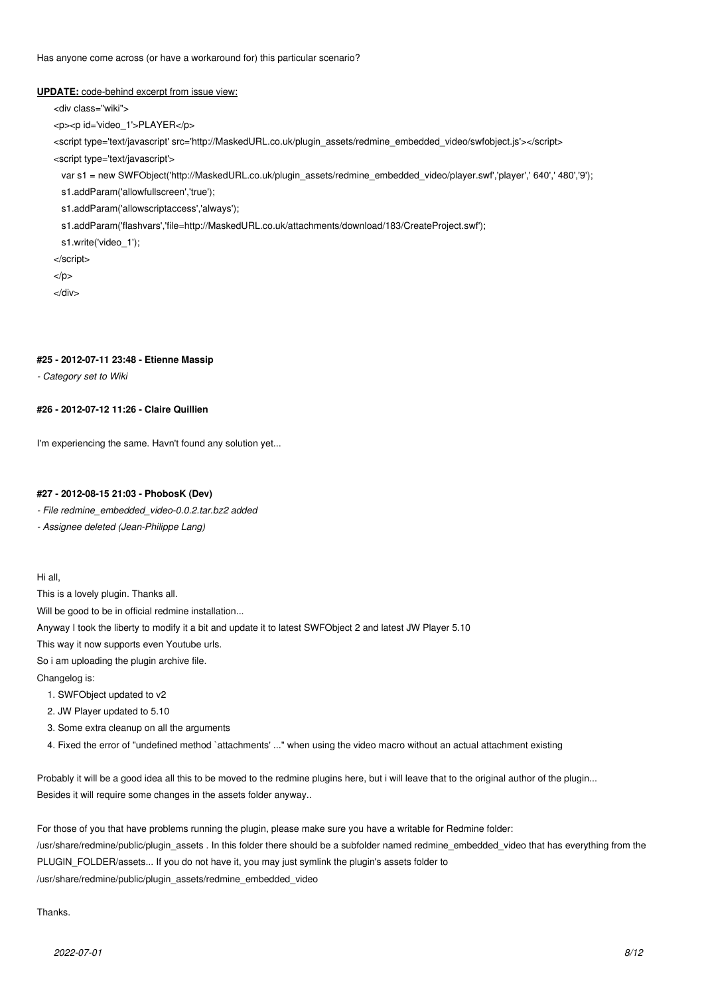Has anyone come across (or have a workaround for) this particular scenario?

#### **UPDATE:** code-behind excerpt from issue view:

<div class="wiki">

<p><p id='video\_1'>PLAYER</p>

<script type='text/javascript' src='http://MaskedURL.co.uk/plugin\_assets/redmine\_embedded\_video/swfobject.js'></script>

<script type='text/javascript'>

var s1 = new SWFObject('http://MaskedURL.co.uk/plugin\_assets/redmine\_embedded\_video/player.swf','player',' 640',' 480','9');

s1.addParam('allowfullscreen','true');

s1.addParam('allowscriptaccess','always');

s1.addParam('flashvars','file=http://MaskedURL.co.uk/attachments/download/183/CreateProject.swf');

s1.write('video\_1');

</script>

 $<$ /p $>$ 

</div>

# **#25 - 2012-07-11 23:48 - Etienne Massip**

*- Category set to Wiki*

# **#26 - 2012-07-12 11:26 - Claire Quillien**

I'm experiencing the same. Havn't found any solution yet...

#### **#27 - 2012-08-15 21:03 - PhobosK (Dev)**

*- File redmine\_embedded\_video-0.0.2.tar.bz2 added*

*- Assignee deleted (Jean-Philippe Lang)*

Hi all,

This is a lovely plugin. Thanks all.

Will be good to be in official redmine installation...

Anyway I took the liberty to modify it a bit and update it to latest SWFObject 2 and latest JW Player 5.10

This way it now supports even Youtube urls.

So i am uploading the plugin archive file.

Changelog is:

1. SWFObject updated to v2

2. JW Player updated to 5.10

- 3. Some extra cleanup on all the arguments
- 4. Fixed the error of "undefined method `attachments' ..." when using the video macro without an actual attachment existing

Probably it will be a good idea all this to be moved to the redmine plugins here, but i will leave that to the original author of the plugin... Besides it will require some changes in the assets folder anyway..

For those of you that have problems running the plugin, please make sure you have a writable for Redmine folder: /usr/share/redmine/public/plugin\_assets . In this folder there should be a subfolder named redmine\_embedded\_video that has everything from the PLUGIN\_FOLDER/assets... If you do not have it, you may just symlink the plugin's assets folder to /usr/share/redmine/public/plugin\_assets/redmine\_embedded\_video

Thanks.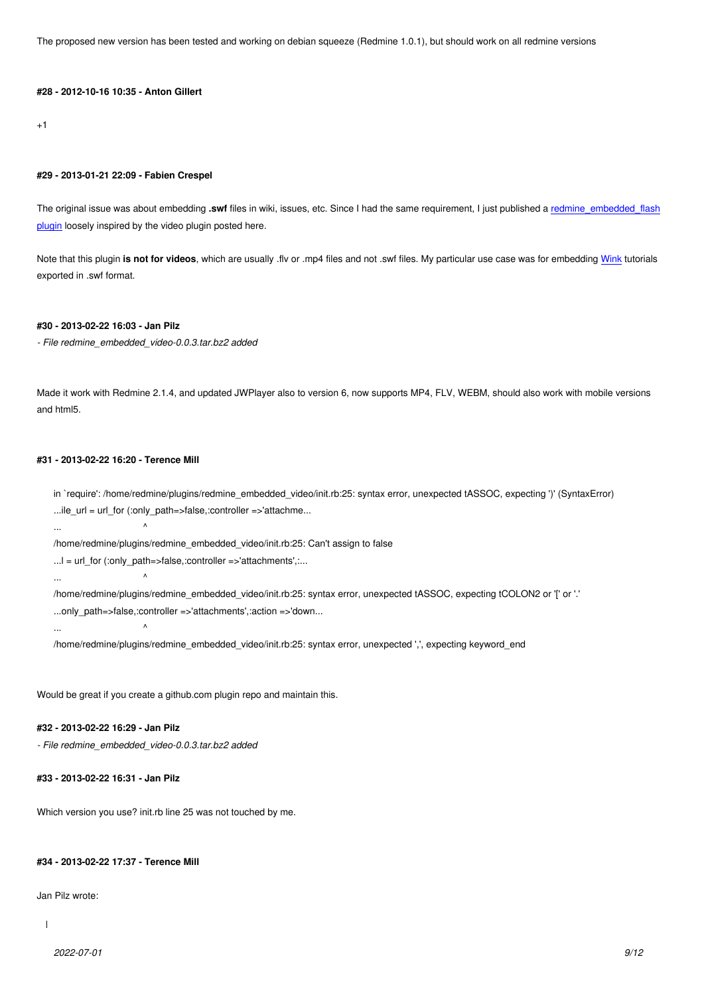+1

# **#29 - 2013-01-21 22:09 - Fabien Crespel**

The original issue was about embedding .swf files in wiki, issues, etc. Since I had the same requirement, I just published a redmine\_embedded\_flash plugin loosely inspired by the video plugin posted here.

Note that this plugin **is not for videos**, which are usually .flv or .mp4 files and not .swf files. My particular use case was for [embedding Wink tutorials](http://www.redmine.org/plugins/redmine_embedded_flash) [export](http://www.redmine.org/plugins/redmine_embedded_flash)ed in .swf format.

### **#30 - 2013-02-22 16:03 - Jan Pilz**

*- File redmine\_embedded\_video-0.0.3.tar.bz2 added*

Made it work with Redmine 2.1.4, and updated JWPlayer also to version 6, now supports MP4, FLV, WEBM, should also work with mobile versions and html5.

# **#31 - 2013-02-22 16:20 - Terence Mill**

in `require': /home/redmine/plugins/redmine\_embedded\_video/init.rb:25: syntax error, unexpected tASSOC, expecting ')' (SyntaxError) ...ile\_url = url\_for (:only\_path=>false,:controller =>'attachme...

... ^

... ^

/home/redmine/plugins/redmine\_embedded\_video/init.rb:25: Can't assign to false

... $l =$  url\_for (:only\_path=>false,:controller =>'attachments',:...

... ^

/home/redmine/plugins/redmine\_embedded\_video/init.rb:25: syntax error, unexpected tASSOC, expecting tCOLON2 or '[' or '.' ...only\_path=>false,:controller =>'attachments',:action =>'down...

/home/redmine/plugins/redmine\_embedded\_video/init.rb:25: syntax error, unexpected ',', expecting keyword\_end

Would be great if you create a github.com plugin repo and maintain this.

#### **#32 - 2013-02-22 16:29 - Jan Pilz**

*- File redmine\_embedded\_video-0.0.3.tar.bz2 added*

#### **#33 - 2013-02-22 16:31 - Jan Pilz**

Which version you use? init.rb line 25 was not touched by me.

# **#34 - 2013-02-22 17:37 - Terence Mill**

Jan Pilz wrote:

 $\overline{1}$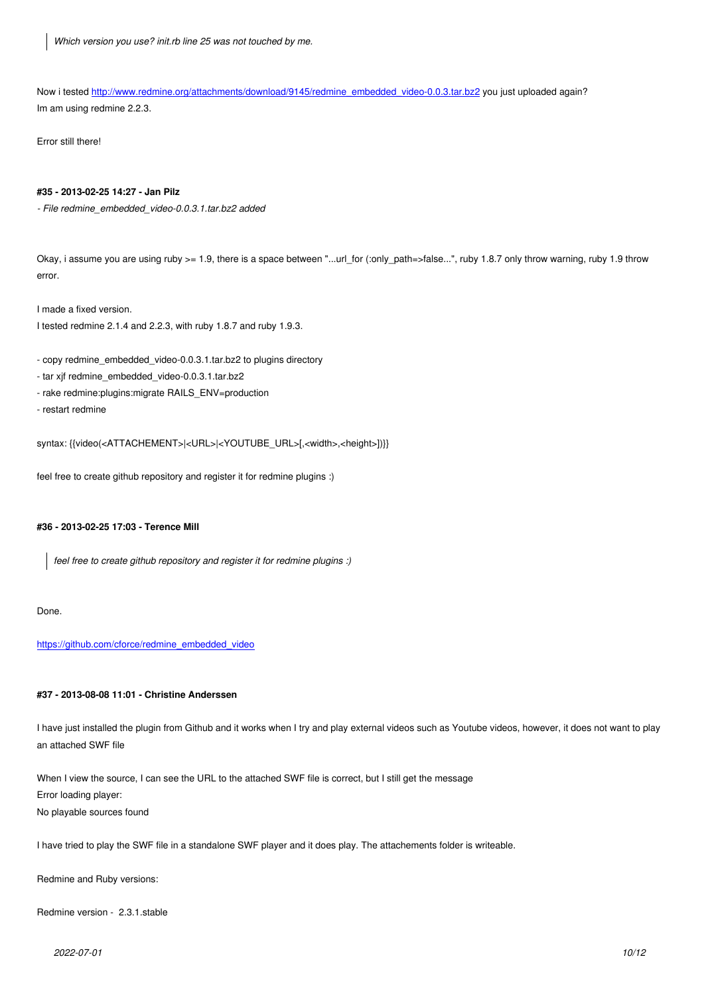Now i tested http://www.redmine.org/attachments/download/9145/redmine\_embedded\_video-0.0.3.tar.bz2 you just uploaded again? Im am using redmine 2.2.3.

Error still the[re!](http://www.redmine.org/attachments/download/9145/redmine_embedded_video-0.0.3.tar.bz2)

#### **#35 - 2013-02-25 14:27 - Jan Pilz**

*- File redmine\_embedded\_video-0.0.3.1.tar.bz2 added*

Okay, i assume you are using ruby >= 1.9, there is a space between "...url\_for (:only\_path=>false...", ruby 1.8.7 only throw warning, ruby 1.9 throw error.

I made a fixed version.

I tested redmine 2.1.4 and 2.2.3, with ruby 1.8.7 and ruby 1.9.3.

- copy redmine\_embedded\_video-0.0.3.1.tar.bz2 to plugins directory
- tar xjf redmine\_embedded\_video-0.0.3.1.tar.bz2
- rake redmine:plugins:migrate RAILS\_ENV=production
- restart redmine

syntax: {{video(<ATTACHEMENT>|<URL>|<YOUTUBE\_URL>[,<width>,<height>])}}

feel free to create github repository and register it for redmine plugins :)

#### **#36 - 2013-02-25 17:03 - Terence Mill**

*feel free to create github repository and register it for redmine plugins :)*

Done.

https://github.com/cforce/redmine\_embedded\_video

#### **[#37 - 2013-08-08 11:01 - Christine Anderssen](https://github.com/cforce/redmine_embedded_video)**

I have just installed the plugin from Github and it works when I try and play external videos such as Youtube videos, however, it does not want to play an attached SWF file

When I view the source, I can see the URL to the attached SWF file is correct, but I still get the message Error loading player: No playable sources found

I have tried to play the SWF file in a standalone SWF player and it does play. The attachements folder is writeable.

Redmine and Ruby versions:

Redmine version - 2.3.1.stable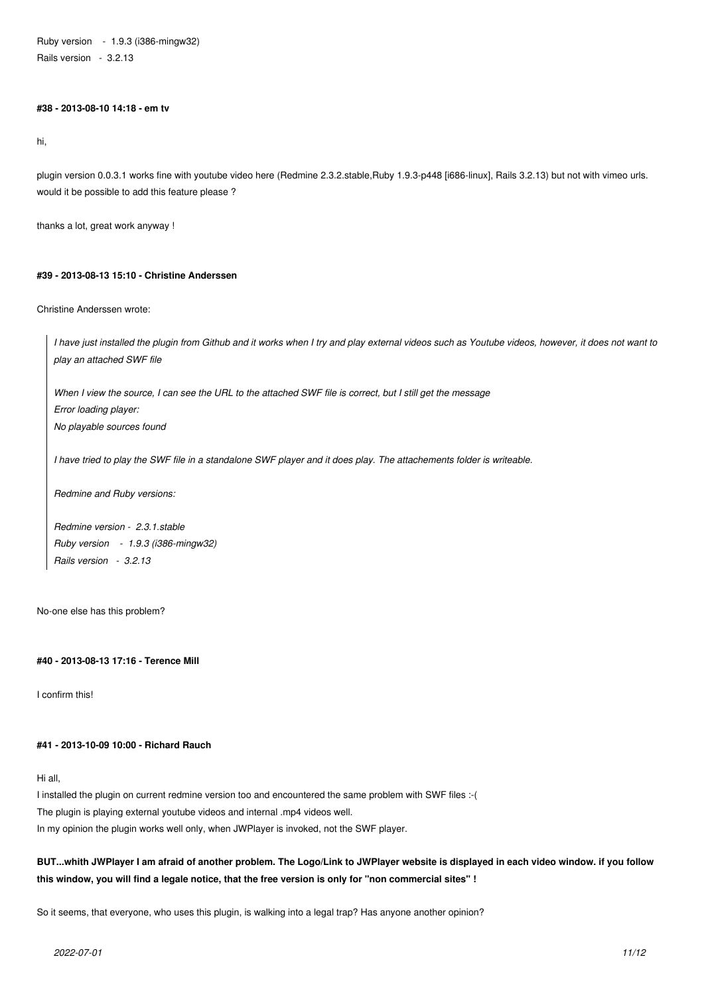Ruby version - 1.9.3 (i386-mingw32) Rails version - 3.2.13

### **#38 - 2013-08-10 14:18 - em tv**

hi,

plugin version 0.0.3.1 works fine with youtube video here (Redmine 2.3.2.stable,Ruby 1.9.3-p448 [i686-linux], Rails 3.2.13) but not with vimeo urls. would it be possible to add this feature please ?

thanks a lot, great work anyway !

### **#39 - 2013-08-13 15:10 - Christine Anderssen**

Christine Anderssen wrote:

*I have just installed the plugin from Github and it works when I try and play external videos such as Youtube videos, however, it does not want to play an attached SWF file*

*When I view the source, I can see the URL to the attached SWF file is correct, but I still get the message Error loading player: No playable sources found*

*I have tried to play the SWF file in a standalone SWF player and it does play. The attachements folder is writeable.*

*Redmine and Ruby versions:*

*Redmine version - 2.3.1.stable Ruby version - 1.9.3 (i386-mingw32) Rails version - 3.2.13*

No-one else has this problem?

#### **#40 - 2013-08-13 17:16 - Terence Mill**

I confirm this!

# **#41 - 2013-10-09 10:00 - Richard Rauch**

Hi all,

I installed the plugin on current redmine version too and encountered the same problem with SWF files :-( The plugin is playing external youtube videos and internal .mp4 videos well. In my opinion the plugin works well only, when JWPlayer is invoked, not the SWF player.

# **BUT...whith JWPlayer I am afraid of another problem. The Logo/Link to JWPlayer website is displayed in each video window. if you follow this window, you will find a legale notice, that the free version is only for "non commercial sites" !**

So it seems, that everyone, who uses this plugin, is walking into a legal trap? Has anyone another opinion?